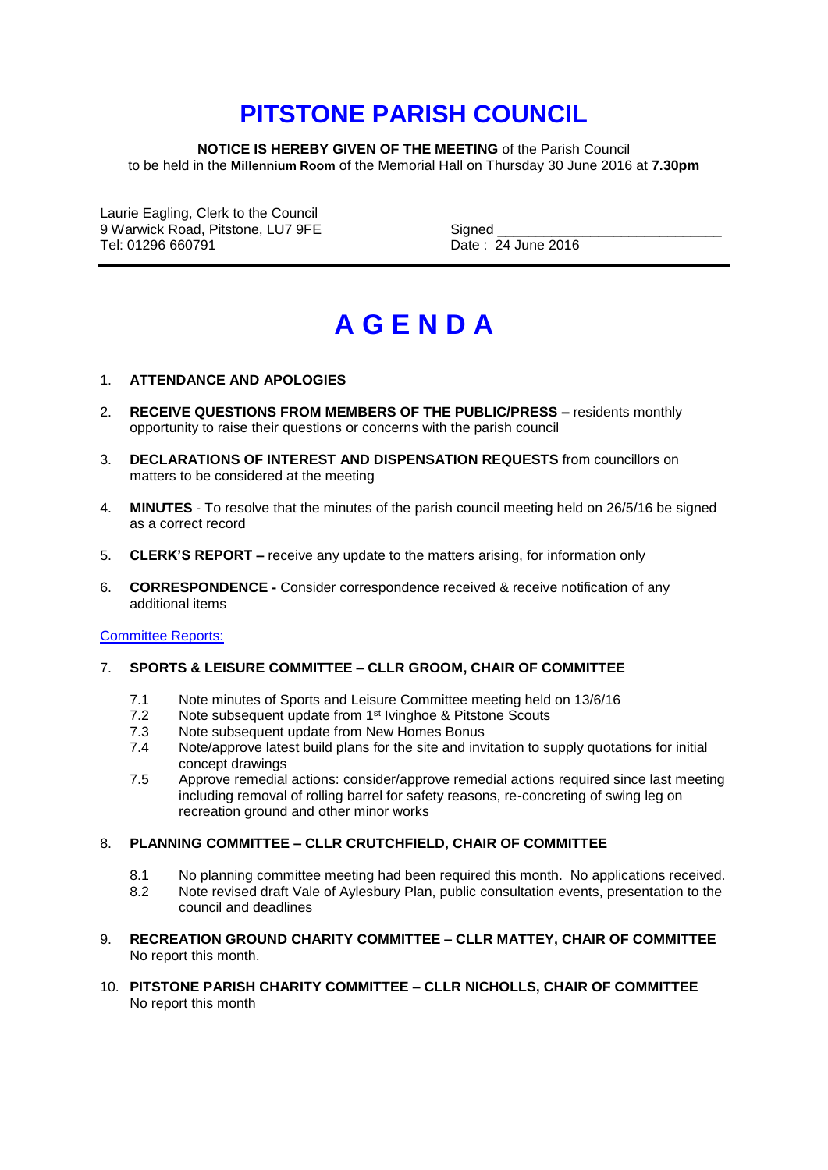# **PITSTONE PARISH COUNCIL**

**NOTICE IS HEREBY GIVEN OF THE MEETING** of the Parish Council to be held in the **Millennium Room** of the Memorial Hall on Thursday 30 June 2016 at **7.30pm**

Laurie Eagling, Clerk to the Council 9 Warwick Road, Pitstone, LU7 9FE Signed Signed Signed Signed Signed Signed Signed Signed Signed Signed Signed

Date: 24 June 2016

# **A G E N D A**

# 1. **ATTENDANCE AND APOLOGIES**

- 2. **RECEIVE QUESTIONS FROM MEMBERS OF THE PUBLIC/PRESS –** residents monthly opportunity to raise their questions or concerns with the parish council
- 3. **DECLARATIONS OF INTEREST AND DISPENSATION REQUESTS** from councillors on matters to be considered at the meeting
- 4. **MINUTES** To resolve that the minutes of the parish council meeting held on 26/5/16 be signed as a correct record
- 5. **CLERK'S REPORT –** receive any update to the matters arising, for information only
- 6. **CORRESPONDENCE -** Consider correspondence received & receive notification of any additional items

### Committee Reports:

### 7. **SPORTS & LEISURE COMMITTEE – CLLR GROOM, CHAIR OF COMMITTEE**

- 7.1 Note minutes of Sports and Leisure Committee meeting held on 13/6/16
- 7.2 Note subsequent update from 1<sup>st</sup> Ivinghoe & Pitstone Scouts
- 7.3 Note subsequent update from New Homes Bonus
- 7.4 Note/approve latest build plans for the site and invitation to supply quotations for initial concept drawings
- 7.5 Approve remedial actions: consider/approve remedial actions required since last meeting including removal of rolling barrel for safety reasons, re-concreting of swing leg on recreation ground and other minor works

### 8. **PLANNING COMMITTEE – CLLR CRUTCHFIELD, CHAIR OF COMMITTEE**

- 8.1 No planning committee meeting had been required this month. No applications received.
- 8.2 Note revised draft Vale of Aylesbury Plan, public consultation events, presentation to the council and deadlines
- 9. **RECREATION GROUND CHARITY COMMITTEE – CLLR MATTEY, CHAIR OF COMMITTEE** No report this month.
- 10. **PITSTONE PARISH CHARITY COMMITTEE – CLLR NICHOLLS, CHAIR OF COMMITTEE** No report this month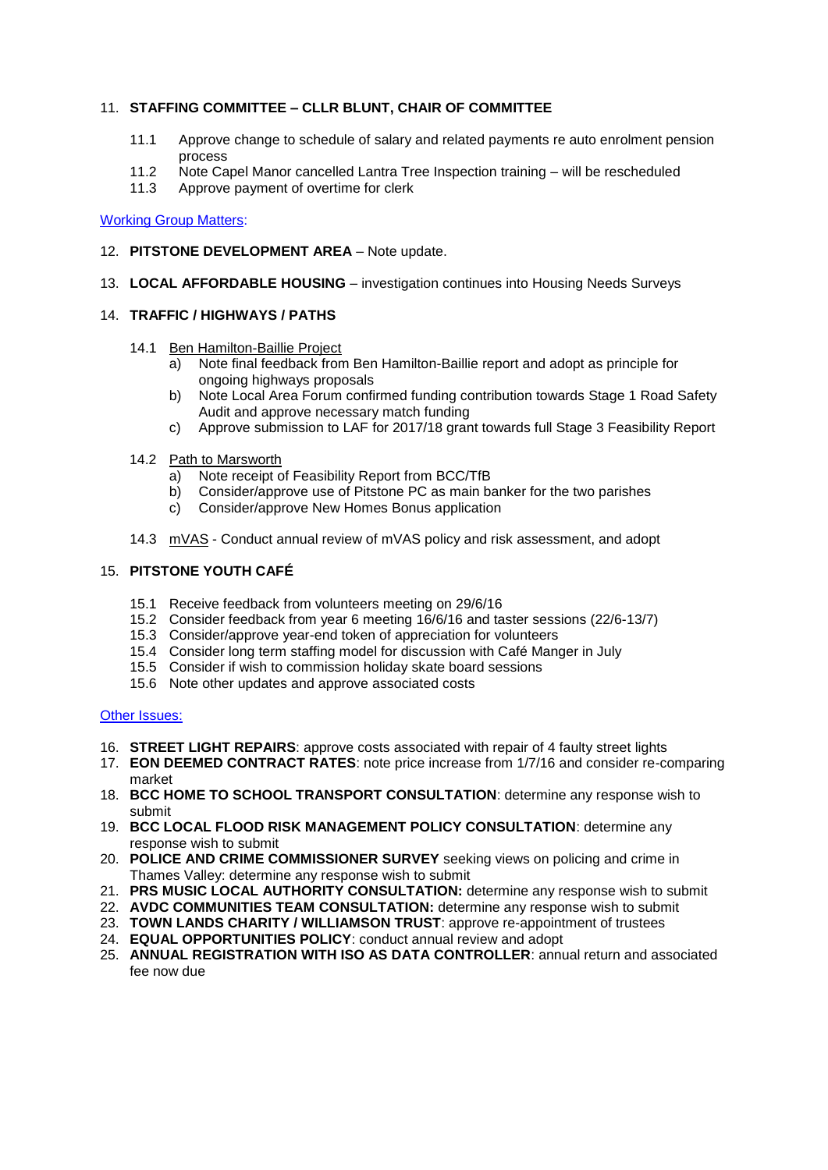# 11. **STAFFING COMMITTEE – CLLR BLUNT, CHAIR OF COMMITTEE**

- 11.1 Approve change to schedule of salary and related payments re auto enrolment pension process
- 11.2 Note Capel Manor cancelled Lantra Tree Inspection training will be rescheduled
- 11.3 Approve payment of overtime for clerk

Working Group Matters:

- 12. **PITSTONE DEVELOPMENT AREA** Note update.
- 13. **LOCAL AFFORDABLE HOUSING**  investigation continues into Housing Needs Surveys

# 14. **TRAFFIC / HIGHWAYS / PATHS**

- 14.1 Ben Hamilton-Baillie Project
	- a) Note final feedback from Ben Hamilton-Baillie report and adopt as principle for ongoing highways proposals
	- b) Note Local Area Forum confirmed funding contribution towards Stage 1 Road Safety Audit and approve necessary match funding
	- c) Approve submission to LAF for 2017/18 grant towards full Stage 3 Feasibility Report
- 14.2 Path to Marsworth
	- a) Note receipt of Feasibility Report from BCC/TfB
	- b) Consider/approve use of Pitstone PC as main banker for the two parishes
	- c) Consider/approve New Homes Bonus application
- 14.3 mVAS Conduct annual review of mVAS policy and risk assessment, and adopt

# 15. **PITSTONE YOUTH CAFÉ**

- 15.1 Receive feedback from volunteers meeting on 29/6/16
- 15.2 Consider feedback from year 6 meeting 16/6/16 and taster sessions (22/6-13/7)
- 15.3 Consider/approve year-end token of appreciation for volunteers
- 15.4 Consider long term staffing model for discussion with Café Manger in July
- 15.5 Consider if wish to commission holiday skate board sessions
- 15.6 Note other updates and approve associated costs

# Other Issues:

- 16. **STREET LIGHT REPAIRS**: approve costs associated with repair of 4 faulty street lights
- 17. **EON DEEMED CONTRACT RATES**: note price increase from 1/7/16 and consider re-comparing market
- 18. **BCC HOME TO SCHOOL TRANSPORT CONSULTATION**: determine any response wish to submit
- 19. **BCC LOCAL FLOOD RISK MANAGEMENT POLICY CONSULTATION**: determine any response wish to submit
- 20. **POLICE AND CRIME COMMISSIONER SURVEY** seeking views on policing and crime in Thames Valley: determine any response wish to submit
- 21. **PRS MUSIC LOCAL AUTHORITY CONSULTATION:** determine any response wish to submit
- 22. **AVDC COMMUNITIES TEAM CONSULTATION:** determine any response wish to submit
- 23. **TOWN LANDS CHARITY / WILLIAMSON TRUST**: approve re-appointment of trustees
- 24. **EQUAL OPPORTUNITIES POLICY**: conduct annual review and adopt
- 25. **ANNUAL REGISTRATION WITH ISO AS DATA CONTROLLER**: annual return and associated fee now due